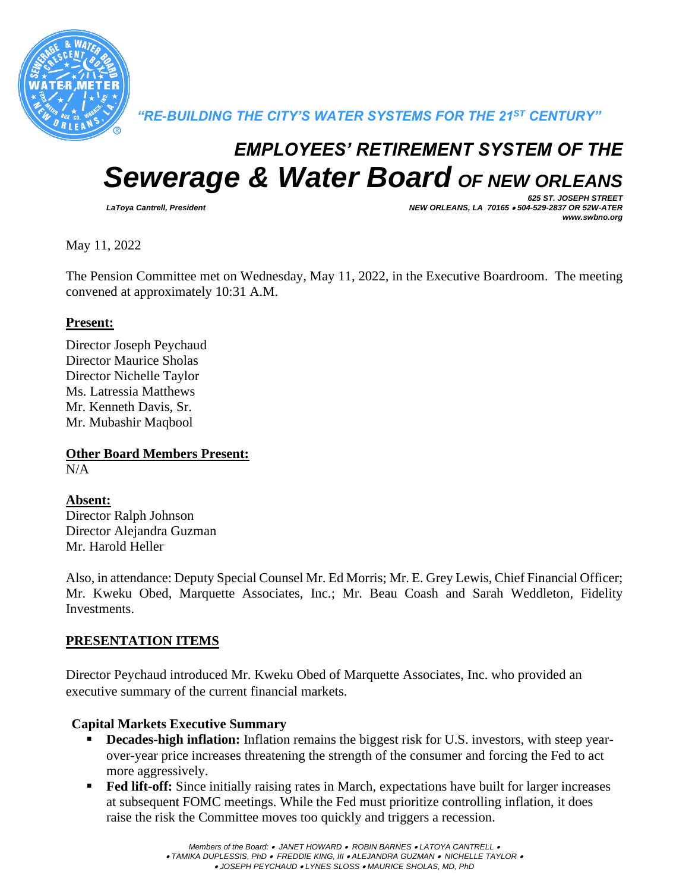

*"RE-BUILDING THE CITY'S WATER SYSTEMS FOR THE 21ST CENTURY"*

# *EMPLOYEES' RETIREMENT SYSTEM OF THE Sewerage & Water Board OF NEW ORLEANS*

*625 ST. JOSEPH STREET LaToya Cantrell, President NEW ORLEANS, LA 70165* • *504-529-2837 OR 52W-ATER www.swbno.org*

May 11, 2022

The Pension Committee met on Wednesday, May 11, 2022, in the Executive Boardroom. The meeting convened at approximately 10:31 A.M.

#### **Present:**

Director Joseph Peychaud Director Maurice Sholas Director Nichelle Taylor Ms. Latressia Matthews Mr. Kenneth Davis, Sr. Mr. Mubashir Maqbool

**Other Board Members Present:**  $N/A$ 

# **Absent:**

Director Ralph Johnson Director Alejandra Guzman Mr. Harold Heller

Also, in attendance: Deputy Special Counsel Mr. Ed Morris; Mr. E. Grey Lewis, Chief Financial Officer; Mr. Kweku Obed, Marquette Associates, Inc.; Mr. Beau Coash and Sarah Weddleton, Fidelity Investments.

### **PRESENTATION ITEMS**

Director Peychaud introduced Mr. Kweku Obed of Marquette Associates, Inc. who provided an executive summary of the current financial markets.

### **Capital Markets Executive Summary**

- **Decades-high inflation:** Inflation remains the biggest risk for U.S. investors, with steep yearover-year price increases threatening the strength of the consumer and forcing the Fed to act more aggressively.
- **Fed lift-off:** Since initially raising rates in March, expectations have built for larger increases at subsequent FOMC meetings. While the Fed must prioritize controlling inflation, it does raise the risk the Committee moves too quickly and triggers a recession.